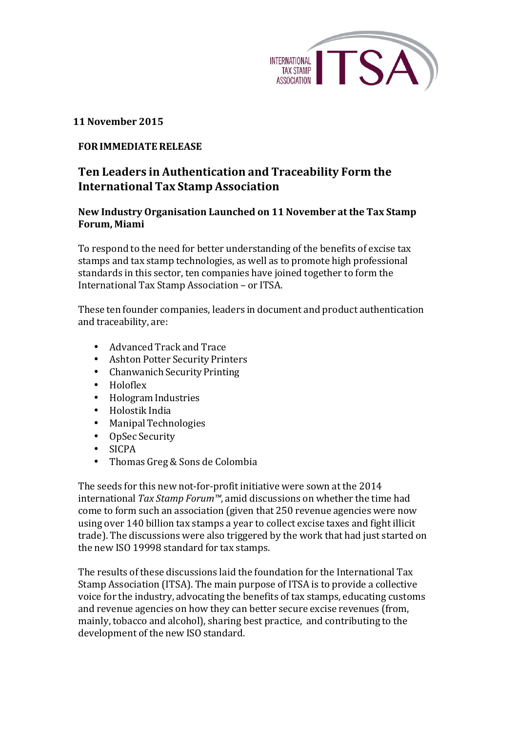

## **11 November 2015**

## **FORIMMEDIATERELEASE**

## **Ten Leaders in Authentication and Traceability Form the International Tax Stamp Association**

## **New Industry Organisation Launched on 11 November at the Tax Stamp Forum, Miami**

To respond to the need for better understanding of the benefits of excise tax stamps and tax stamp technologies, as well as to promote high professional standards in this sector, ten companies have joined together to form the International Tax Stamp Association – or ITSA.

These ten founder companies, leaders in document and product authentication and traceability, are:

- Advanced Track and Trace
- Ashton Potter Security Printers
- Chanwanich Security Printing
- Holoflex
- Hologram Industries
- Holostik India
- ManipalTechnologies
- OpSec Security
- SICPA
- Thomas Greg & Sons de Colombia

The seeds for this new not-for-profit initiative were sown at the 2014 international *Tax Stamp Forum™*, amid discussions on whether the time had come to form such an association (given that 250 revenue agencies were now using over 140 billion tax stamps a year to collect excise taxes and fight illicit trade). The discussions were also triggered by the work that had just started on the new ISO 19998 standard for tax stamps.

The results of these discussions laid the foundation for the International Tax Stamp Association (ITSA). The main purpose of ITSA is to provide a collective voice for the industry, advocating the benefits of tax stamps, educating customs and revenue agencies on how they can better secure excise revenues (from, mainly, tobacco and alcohol), sharing best practice, and contributing to the development of the new ISO standard.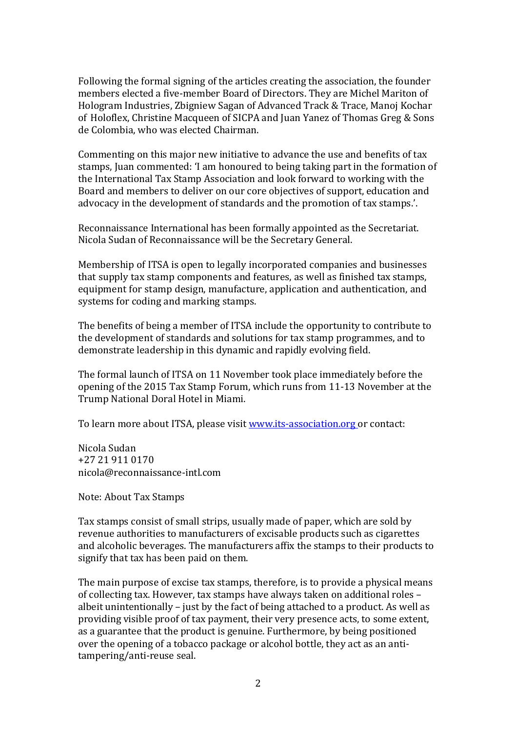Following the formal signing of the articles creating the association, the founder members elected a five-member Board of Directors. They are Michel Mariton of Hologram Industries, Zbigniew Sagan of Advanced Track & Trace, Manoj Kochar of Holoflex, Christine Macqueen of SICPA and Juan Yanez of Thomas Greg & Sons de Colombia, who was elected Chairman.

Commenting on this major new initiative to advance the use and benefits of tax stamps, Juan commented: 'I am honoured to being taking part in the formation of the International Tax Stamp Association and look forward to working with the Board and members to deliver on our core objectives of support, education and advocacy in the development of standards and the promotion of tax stamps.'.

Reconnaissance International has been formally appointed as the Secretariat. Nicola Sudan of Reconnaissance will be the Secretary General.

Membership of ITSA is open to legally incorporated companies and businesses that supply tax stamp components and features, as well as finished tax stamps, equipment for stamp design, manufacture, application and authentication, and systems for coding and marking stamps.

The benefits of being a member of ITSA include the opportunity to contribute to the development of standards and solutions for tax stamp programmes, and to demonstrate leadership in this dynamic and rapidly evolving field.

The formal launch of ITSA on 11 November took place immediately before the opening of the 2015 Tax Stamp Forum, which runs from 11-13 November at the Trump National Doral Hotel in Miami.

To learn more about ITSA, please visit www.its-association.org or contact:

Nicola Sudan +27 21 911 0170 nicola@reconnaissance-intl.com

Note: About Tax Stamps

Tax stamps consist of small strips, usually made of paper, which are sold by revenue authorities to manufacturers of excisable products such as cigarettes and alcoholic beverages. The manufacturers affix the stamps to their products to signify that tax has been paid on them.

The main purpose of excise tax stamps, therefore, is to provide a physical means of collecting tax. However, tax stamps have always taken on additional roles albeit unintentionally  $-$  just by the fact of being attached to a product. As well as providing visible proof of tax payment, their very presence acts, to some extent, as a guarantee that the product is genuine. Furthermore, by being positioned over the opening of a tobacco package or alcohol bottle, they act as an antitampering/anti-reuse seal.